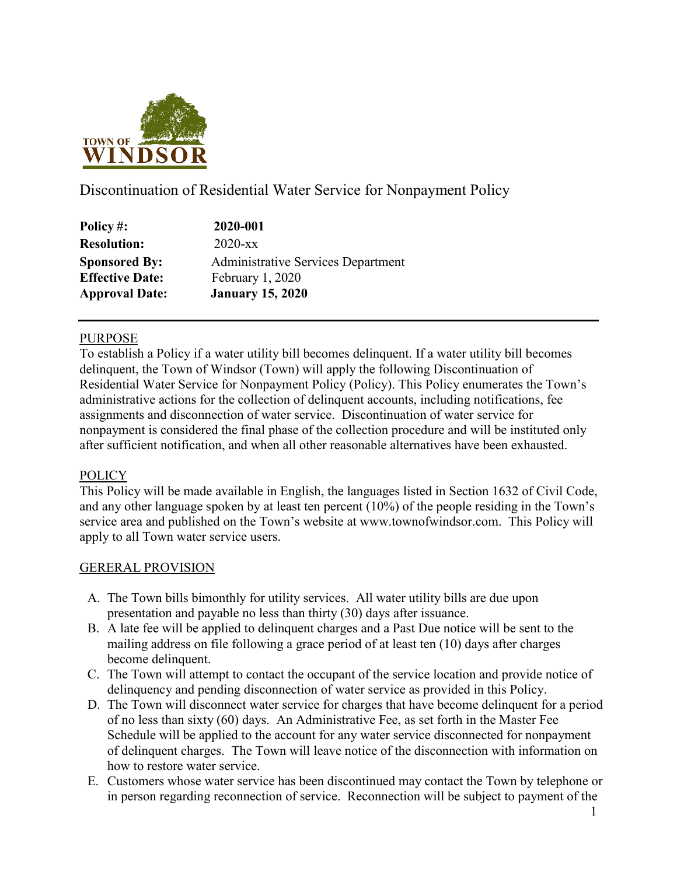

Discontinuation of Residential Water Service for Nonpayment Policy

| Policy#:               | 2020-001                           |
|------------------------|------------------------------------|
| <b>Resolution:</b>     | $2020$ -xx                         |
| <b>Sponsored By:</b>   | Administrative Services Department |
| <b>Effective Date:</b> | February 1, 2020                   |
| <b>Approval Date:</b>  | <b>January 15, 2020</b>            |

# PURPOSE

To establish a Policy if a water utility bill becomes delinquent. If a water utility bill becomes delinquent, the Town of Windsor (Town) will apply the following Discontinuation of Residential Water Service for Nonpayment Policy (Policy). This Policy enumerates the Town's administrative actions for the collection of delinquent accounts, including notifications, fee assignments and disconnection of water service. Discontinuation of water service for nonpayment is considered the final phase of the collection procedure and will be instituted only after sufficient notification, and when all other reasonable alternatives have been exhausted.

# **POLICY**

This Policy will be made available in English, the languages listed in Section 1632 of Civil Code, and any other language spoken by at least ten percent (10%) of the people residing in the Town's service area and published on the Town's website at www.townofwindsor.com. This Policy will apply to all Town water service users.

# GERERAL PROVISION

- A. The Town bills bimonthly for utility services. All water utility bills are due upon presentation and payable no less than thirty (30) days after issuance.
- B. A late fee will be applied to delinquent charges and a Past Due notice will be sent to the mailing address on file following a grace period of at least ten (10) days after charges become delinquent.
- C. The Town will attempt to contact the occupant of the service location and provide notice of delinquency and pending disconnection of water service as provided in this Policy.
- D. The Town will disconnect water service for charges that have become delinquent for a period of no less than sixty (60) days. An Administrative Fee, as set forth in the Master Fee Schedule will be applied to the account for any water service disconnected for nonpayment of delinquent charges. The Town will leave notice of the disconnection with information on how to restore water service.
- E. Customers whose water service has been discontinued may contact the Town by telephone or in person regarding reconnection of service. Reconnection will be subject to payment of the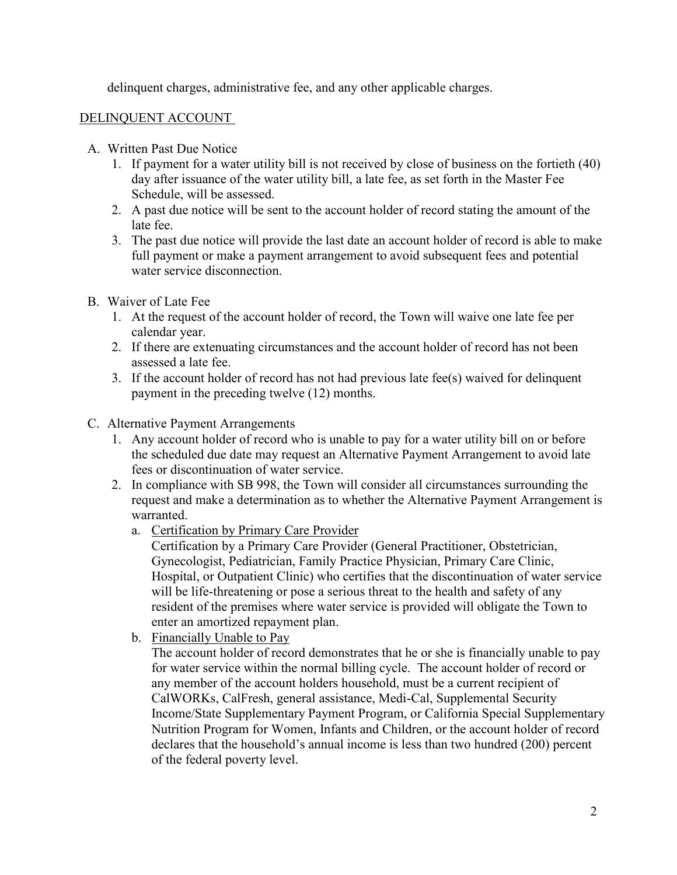delinquent charges, administrative fee, and any other applicable charges.

# DELINQUENT ACCOUNT

- A. Written Past Due Notice
	- 1. If payment for a water utility bill is not received by close of business on the fortieth (40) day after issuance of the water utility bill, a late fee, as set forth in the Master Fee Schedule, will be assessed.
	- 2. A past due notice will be sent to the account holder of record stating the amount of the late fee.
	- 3. The past due notice will provide the last date an account holder of record is able to make full payment or make a payment arrangement to avoid subsequent fees and potential water service disconnection.
- B. Waiver of Late Fee
	- 1. At the request of the account holder of record, the Town will waive one late fee per calendar year.
	- 2. If there are extenuating circumstances and the account holder of record has not been assessed a late fee.
	- 3. If the account holder of record has not had previous late fee(s) waived for delinquent payment in the preceding twelve (12) months.
- C. Alternative Payment Arrangements
	- 1. Any account holder of record who is unable to pay for a water utility bill on or before the scheduled due date may request an Alternative Payment Arrangement to avoid late fees or discontinuation of water service.
	- 2. In compliance with SB 998, the Town will consider all circumstances surrounding the request and make a determination as to whether the Alternative Payment Arrangement is warranted.
		- a. Certification by Primary Care Provider

Certification by a Primary Care Provider (General Practitioner, Obstetrician, Gynecologist, Pediatrician, Family Practice Physician, Primary Care Clinic, Hospital, or Outpatient Clinic) who certifies that the discontinuation of water service will be life-threatening or pose a serious threat to the health and safety of any resident of the premises where water service is provided will obligate the Town to enter an amortized repayment plan.

b. Financially Unable to Pay

The account holder of record demonstrates that he or she is financially unable to pay for water service within the normal billing cycle. The account holder of record or any member of the account holders household, must be a current recipient of CalWORKs, CalFresh, general assistance, Medi-Cal, Supplemental Security Income/State Supplementary Payment Program, or California Special Supplementary Nutrition Program for Women, Infants and Children, or the account holder of record declares that the household's annual income is less than two hundred (200) percent of the federal poverty level.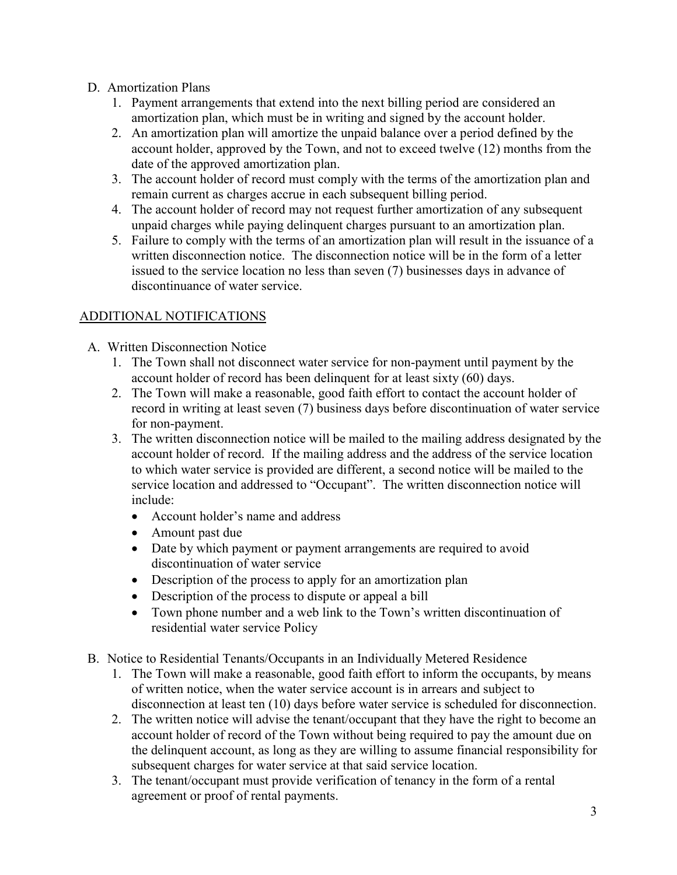# D. Amortization Plans

- 1. Payment arrangements that extend into the next billing period are considered an amortization plan, which must be in writing and signed by the account holder.
- 2. An amortization plan will amortize the unpaid balance over a period defined by the account holder, approved by the Town, and not to exceed twelve (12) months from the date of the approved amortization plan.
- 3. The account holder of record must comply with the terms of the amortization plan and remain current as charges accrue in each subsequent billing period.
- 4. The account holder of record may not request further amortization of any subsequent unpaid charges while paying delinquent charges pursuant to an amortization plan.
- 5. Failure to comply with the terms of an amortization plan will result in the issuance of a written disconnection notice. The disconnection notice will be in the form of a letter issued to the service location no less than seven (7) businesses days in advance of discontinuance of water service.

# ADDITIONAL NOTIFICATIONS

- A. Written Disconnection Notice
	- 1. The Town shall not disconnect water service for non-payment until payment by the account holder of record has been delinquent for at least sixty (60) days.
	- 2. The Town will make a reasonable, good faith effort to contact the account holder of record in writing at least seven (7) business days before discontinuation of water service for non-payment.
	- 3. The written disconnection notice will be mailed to the mailing address designated by the account holder of record. If the mailing address and the address of the service location to which water service is provided are different, a second notice will be mailed to the service location and addressed to "Occupant". The written disconnection notice will include:
		- Account holder's name and address
		- Amount past due
		- Date by which payment or payment arrangements are required to avoid discontinuation of water service
		- Description of the process to apply for an amortization plan
		- Description of the process to dispute or appeal a bill
		- Town phone number and a web link to the Town's written discontinuation of residential water service Policy
- B. Notice to Residential Tenants/Occupants in an Individually Metered Residence
	- 1. The Town will make a reasonable, good faith effort to inform the occupants, by means of written notice, when the water service account is in arrears and subject to disconnection at least ten (10) days before water service is scheduled for disconnection.
	- 2. The written notice will advise the tenant/occupant that they have the right to become an account holder of record of the Town without being required to pay the amount due on the delinquent account, as long as they are willing to assume financial responsibility for subsequent charges for water service at that said service location.
	- 3. The tenant/occupant must provide verification of tenancy in the form of a rental agreement or proof of rental payments.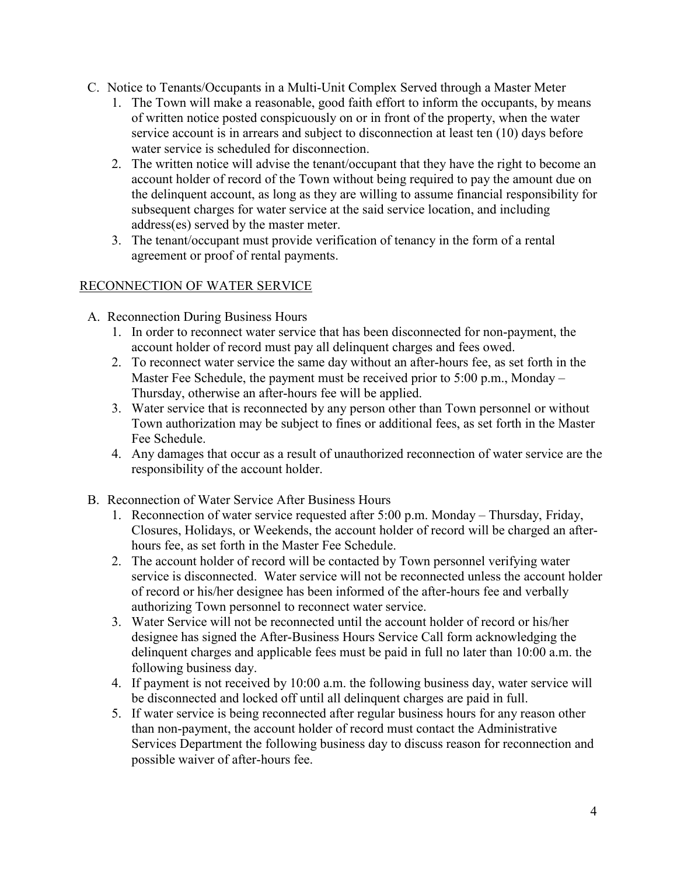- C. Notice to Tenants/Occupants in a Multi-Unit Complex Served through a Master Meter
	- 1. The Town will make a reasonable, good faith effort to inform the occupants, by means of written notice posted conspicuously on or in front of the property, when the water service account is in arrears and subject to disconnection at least ten (10) days before water service is scheduled for disconnection.
	- 2. The written notice will advise the tenant/occupant that they have the right to become an account holder of record of the Town without being required to pay the amount due on the delinquent account, as long as they are willing to assume financial responsibility for subsequent charges for water service at the said service location, and including address(es) served by the master meter.
	- 3. The tenant/occupant must provide verification of tenancy in the form of a rental agreement or proof of rental payments.

# RECONNECTION OF WATER SERVICE

- A. Reconnection During Business Hours
	- 1. In order to reconnect water service that has been disconnected for non-payment, the account holder of record must pay all delinquent charges and fees owed.
	- 2. To reconnect water service the same day without an after-hours fee, as set forth in the Master Fee Schedule, the payment must be received prior to 5:00 p.m., Monday – Thursday, otherwise an after-hours fee will be applied.
	- 3. Water service that is reconnected by any person other than Town personnel or without Town authorization may be subject to fines or additional fees, as set forth in the Master Fee Schedule.
	- 4. Any damages that occur as a result of unauthorized reconnection of water service are the responsibility of the account holder.
- B. Reconnection of Water Service After Business Hours
	- 1. Reconnection of water service requested after 5:00 p.m. Monday Thursday, Friday, Closures, Holidays, or Weekends, the account holder of record will be charged an afterhours fee, as set forth in the Master Fee Schedule.
	- 2. The account holder of record will be contacted by Town personnel verifying water service is disconnected. Water service will not be reconnected unless the account holder of record or his/her designee has been informed of the after-hours fee and verbally authorizing Town personnel to reconnect water service.
	- 3. Water Service will not be reconnected until the account holder of record or his/her designee has signed the After-Business Hours Service Call form acknowledging the delinquent charges and applicable fees must be paid in full no later than 10:00 a.m. the following business day.
	- 4. If payment is not received by 10:00 a.m. the following business day, water service will be disconnected and locked off until all delinquent charges are paid in full.
	- 5. If water service is being reconnected after regular business hours for any reason other than non-payment, the account holder of record must contact the Administrative Services Department the following business day to discuss reason for reconnection and possible waiver of after-hours fee.